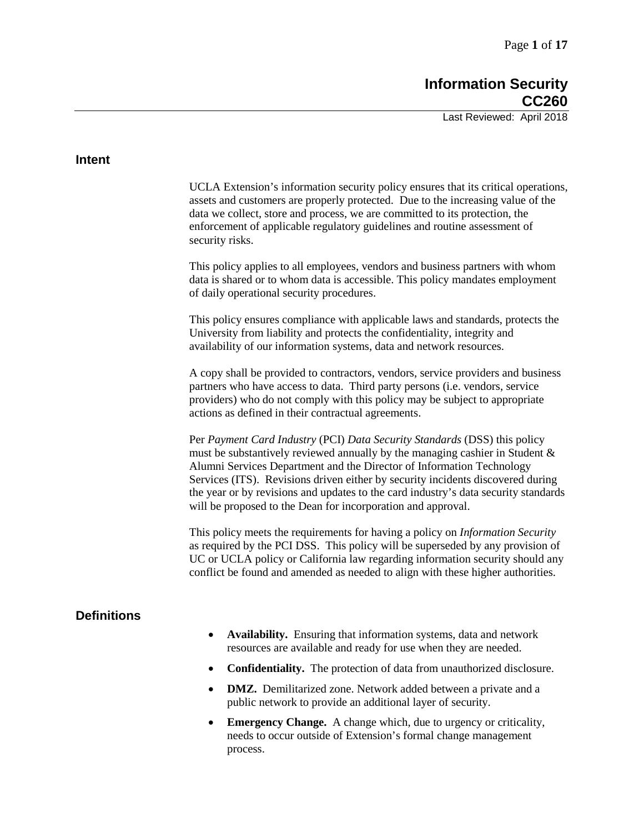Last Reviewed: April 2018

# UCLA Extension's information security policy ensures that its critical operations, assets and customers are properly protected. Due to the increasing value of the data we collect, store and process, we are committed to its protection, the enforcement of applicable regulatory guidelines and routine assessment of security risks. This policy applies to all employees, vendors and business partners with whom data is shared or to whom data is accessible. This policy mandates employment of daily operational security procedures. This policy ensures compliance with applicable laws and standards, protects the University from liability and protects the confidentiality, integrity and availability of our information systems, data and network resources. A copy shall be provided to contractors, vendors, service providers and business partners who have access to data. Third party persons (i.e. vendors, service providers) who do not comply with this policy may be subject to appropriate actions as defined in their contractual agreements. Per *Payment Card Industry* (PCI) *Data Security Standards* (DSS) this policy must be substantively reviewed annually by the managing cashier in Student  $\&$ Alumni Services Department and the Director of Information Technology Services (ITS). Revisions driven either by security incidents discovered during the year or by revisions and updates to the card industry's data security standards will be proposed to the Dean for incorporation and approval. This policy meets the requirements for having a policy on *Information Security* as required by the PCI DSS.This policy will be superseded by any provision of UC or UCLA policy or California law regarding information security should any conflict be found and amended as needed to align with these higher authorities. **Definitions** • **Availability.** Ensuring that information systems, data and network resources are available and ready for use when they are needed. • **Confidentiality.** The protection of data from unauthorized disclosure. • **DMZ.** Demilitarized zone. Network added between a private and a

**Intent**

• **Emergency Change.** A change which, due to urgency or criticality, needs to occur outside of Extension's formal change management process.

public network to provide an additional layer of security.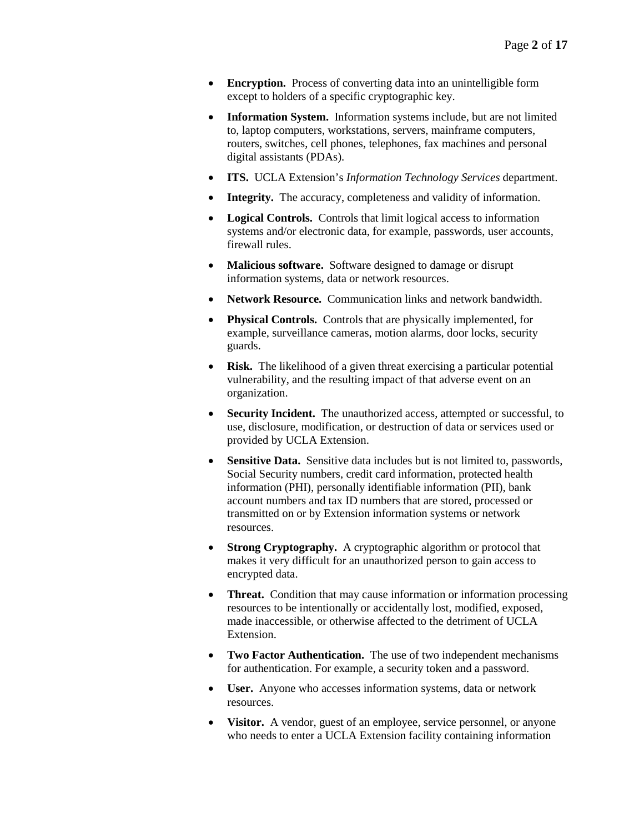- **Encryption.** Process of converting data into an unintelligible form except to holders of a specific cryptographic key.
- **Information System.** Information systems include, but are not limited to, laptop computers, workstations, servers, mainframe computers, routers, switches, cell phones, telephones, fax machines and personal digital assistants (PDAs).
- **ITS.** UCLA Extension's *Information Technology Services* department.
- **Integrity.** The accuracy, completeness and validity of information.
- **Logical Controls.** Controls that limit logical access to information systems and/or electronic data, for example, passwords, user accounts, firewall rules.
- **Malicious software.** Software designed to damage or disrupt information systems, data or network resources.
- **Network Resource.** Communication links and network bandwidth.
- **Physical Controls.** Controls that are physically implemented, for example, surveillance cameras, motion alarms, door locks, security guards.
- **Risk.** The likelihood of a given threat exercising a particular potential vulnerability, and the resulting impact of that adverse event on an organization.
- **Security Incident.** The unauthorized access, attempted or successful, to use, disclosure, modification, or destruction of data or services used or provided by UCLA Extension.
- **Sensitive Data.** Sensitive data includes but is not limited to, passwords, Social Security numbers, credit card information, protected health information (PHI), personally identifiable information (PII), bank account numbers and tax ID numbers that are stored, processed or transmitted on or by Extension information systems or network resources.
- **Strong Cryptography.** A cryptographic algorithm or protocol that makes it very difficult for an unauthorized person to gain access to encrypted data.
- **Threat.** Condition that may cause information or information processing resources to be intentionally or accidentally lost, modified, exposed, made inaccessible, or otherwise affected to the detriment of UCLA Extension.
- **Two Factor Authentication.** The use of two independent mechanisms for authentication. For example, a security token and a password.
- **User.** Anyone who accesses information systems, data or network resources.
- **Visitor.** A vendor, guest of an employee, service personnel, or anyone who needs to enter a UCLA Extension facility containing information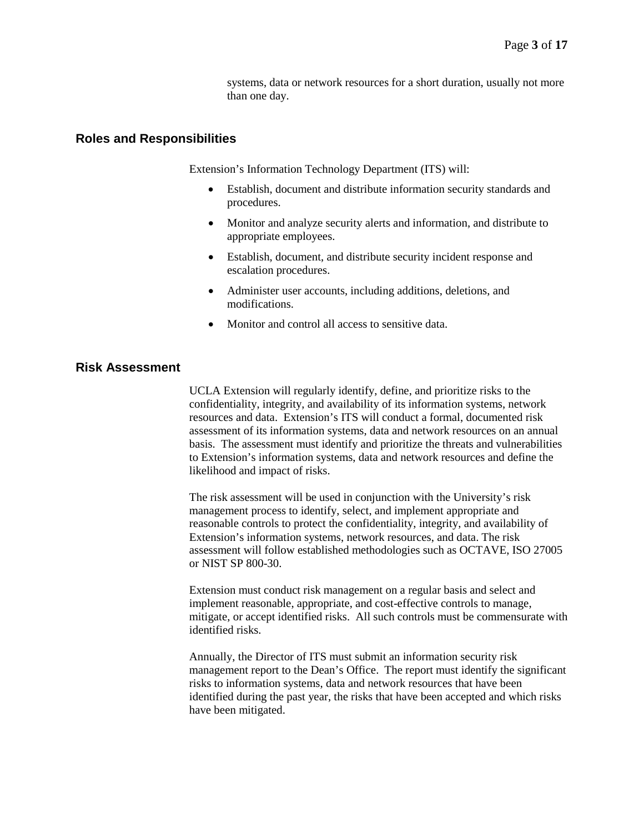systems, data or network resources for a short duration, usually not more than one day.

# **Roles and Responsibilities**

Extension's Information Technology Department (ITS) will:

- Establish, document and distribute information security standards and procedures.
- Monitor and analyze security alerts and information, and distribute to appropriate employees.
- Establish, document, and distribute security incident response and escalation procedures.
- Administer user accounts, including additions, deletions, and modifications.
- Monitor and control all access to sensitive data.

#### **Risk Assessment**

UCLA Extension will regularly identify, define, and prioritize risks to the confidentiality, integrity, and availability of its information systems, network resources and data. Extension's ITS will conduct a formal, documented risk assessment of its information systems, data and network resources on an annual basis. The assessment must identify and prioritize the threats and vulnerabilities to Extension's information systems, data and network resources and define the likelihood and impact of risks.

The risk assessment will be used in conjunction with the University's risk management process to identify, select, and implement appropriate and reasonable controls to protect the confidentiality, integrity, and availability of Extension's information systems, network resources, and data. The risk assessment will follow established methodologies such as OCTAVE, ISO 27005 or NIST SP 800-30.

Extension must conduct risk management on a regular basis and select and implement reasonable, appropriate, and cost-effective controls to manage, mitigate, or accept identified risks. All such controls must be commensurate with identified risks.

Annually, the Director of ITS must submit an information security risk management report to the Dean's Office. The report must identify the significant risks to information systems, data and network resources that have been identified during the past year, the risks that have been accepted and which risks have been mitigated.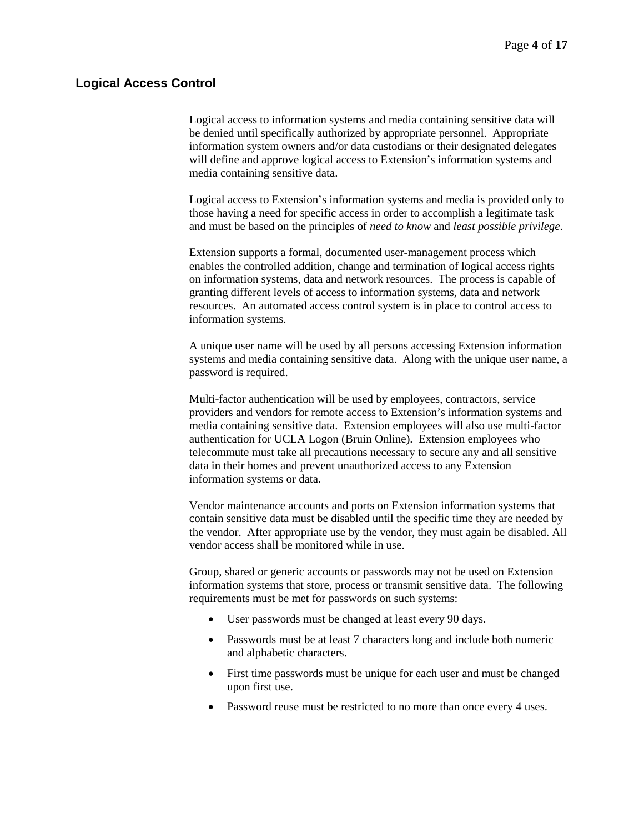# **Logical Access Control**

Logical access to information systems and media containing sensitive data will be denied until specifically authorized by appropriate personnel. Appropriate information system owners and/or data custodians or their designated delegates will define and approve logical access to Extension's information systems and media containing sensitive data.

Logical access to Extension's information systems and media is provided only to those having a need for specific access in order to accomplish a legitimate task and must be based on the principles of *need to know* and *least possible privilege*.

Extension supports a formal, documented user-management process which enables the controlled addition, change and termination of logical access rights on information systems, data and network resources. The process is capable of granting different levels of access to information systems, data and network resources. An automated access control system is in place to control access to information systems.

A unique user name will be used by all persons accessing Extension information systems and media containing sensitive data. Along with the unique user name, a password is required.

Multi-factor authentication will be used by employees, contractors, service providers and vendors for remote access to Extension's information systems and media containing sensitive data. Extension employees will also use multi-factor authentication for UCLA Logon (Bruin Online). Extension employees who telecommute must take all precautions necessary to secure any and all sensitive data in their homes and prevent unauthorized access to any Extension information systems or data.

Vendor maintenance accounts and ports on Extension information systems that contain sensitive data must be disabled until the specific time they are needed by the vendor. After appropriate use by the vendor, they must again be disabled. All vendor access shall be monitored while in use.

Group, shared or generic accounts or passwords may not be used on Extension information systems that store, process or transmit sensitive data. The following requirements must be met for passwords on such systems:

- User passwords must be changed at least every 90 days.
- Passwords must be at least 7 characters long and include both numeric and alphabetic characters.
- First time passwords must be unique for each user and must be changed upon first use.
- Password reuse must be restricted to no more than once every 4 uses.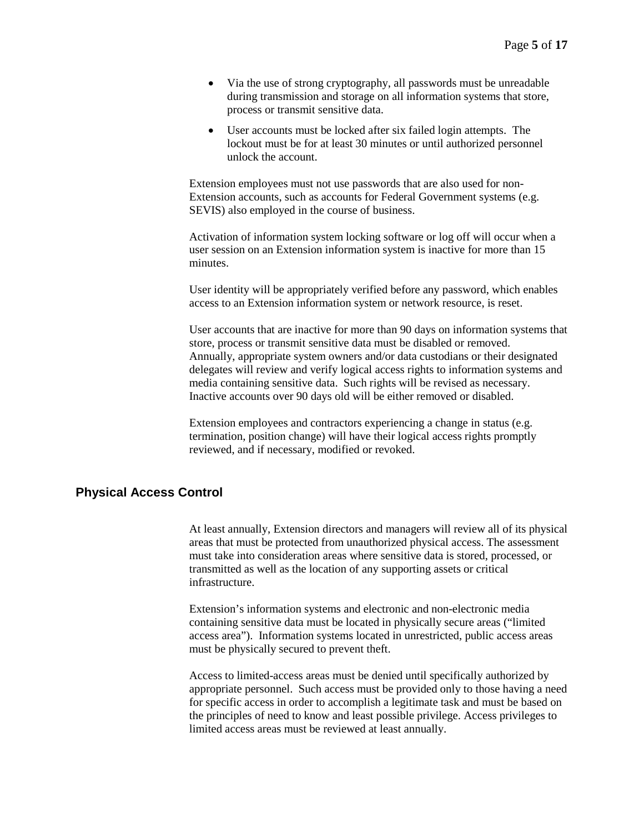- Via the use of strong cryptography, all passwords must be unreadable during transmission and storage on all information systems that store, process or transmit sensitive data.
- User accounts must be locked after six failed login attempts. The lockout must be for at least 30 minutes or until authorized personnel unlock the account.

Extension employees must not use passwords that are also used for non-Extension accounts, such as accounts for Federal Government systems (e.g. SEVIS) also employed in the course of business.

Activation of information system locking software or log off will occur when a user session on an Extension information system is inactive for more than 15 minutes.

User identity will be appropriately verified before any password, which enables access to an Extension information system or network resource, is reset.

User accounts that are inactive for more than 90 days on information systems that store, process or transmit sensitive data must be disabled or removed. Annually, appropriate system owners and/or data custodians or their designated delegates will review and verify logical access rights to information systems and media containing sensitive data. Such rights will be revised as necessary. Inactive accounts over 90 days old will be either removed or disabled.

Extension employees and contractors experiencing a change in status (e.g. termination, position change) will have their logical access rights promptly reviewed, and if necessary, modified or revoked.

# **Physical Access Control**

At least annually, Extension directors and managers will review all of its physical areas that must be protected from unauthorized physical access. The assessment must take into consideration areas where sensitive data is stored, processed, or transmitted as well as the location of any supporting assets or critical infrastructure.

Extension's information systems and electronic and non-electronic media containing sensitive data must be located in physically secure areas ("limited access area"). Information systems located in unrestricted, public access areas must be physically secured to prevent theft.

Access to limited-access areas must be denied until specifically authorized by appropriate personnel. Such access must be provided only to those having a need for specific access in order to accomplish a legitimate task and must be based on the principles of need to know and least possible privilege. Access privileges to limited access areas must be reviewed at least annually.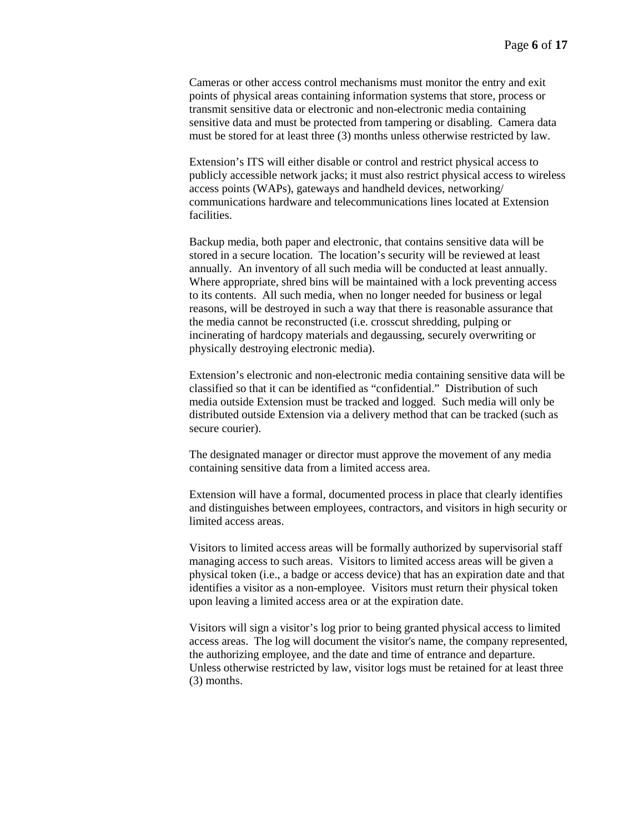Cameras or other access control mechanisms must monitor the entry and exit points of physical areas containing information systems that store, process or transmit sensitive data or electronic and non-electronic media containing sensitive data and must be protected from tampering or disabling. Camera data must be stored for at least three (3) months unless otherwise restricted by law.

Extension's ITS will either disable or control and restrict physical access to publicly accessible network jacks; it must also restrict physical access to wireless access points (WAPs), gateways and handheld devices, networking/ communications hardware and telecommunications lines located at Extension facilities.

Backup media, both paper and electronic, that contains sensitive data will be stored in a secure location. The location's security will be reviewed at least annually. An inventory of all such media will be conducted at least annually. Where appropriate, shred bins will be maintained with a lock preventing access to its contents. All such media, when no longer needed for business or legal reasons, will be destroyed in such a way that there is reasonable assurance that the media cannot be reconstructed (i.e. crosscut shredding, pulping or incinerating of hardcopy materials and degaussing, securely overwriting or physically destroying electronic media).

Extension's electronic and non-electronic media containing sensitive data will be classified so that it can be identified as "confidential." Distribution of such media outside Extension must be tracked and logged. Such media will only be distributed outside Extension via a delivery method that can be tracked (such as secure courier).

The designated manager or director must approve the movement of any media containing sensitive data from a limited access area.

Extension will have a formal, documented process in place that clearly identifies and distinguishes between employees, contractors, and visitors in high security or limited access areas.

Visitors to limited access areas will be formally authorized by supervisorial staff managing access to such areas. Visitors to limited access areas will be given a physical token (i.e., a badge or access device) that has an expiration date and that identifies a visitor as a non-employee. Visitors must return their physical token upon leaving a limited access area or at the expiration date.

Visitors will sign a visitor's log prior to being granted physical access to limited access areas. The log will document the visitor's name, the company represented, the authorizing employee, and the date and time of entrance and departure. Unless otherwise restricted by law, visitor logs must be retained for at least three (3) months.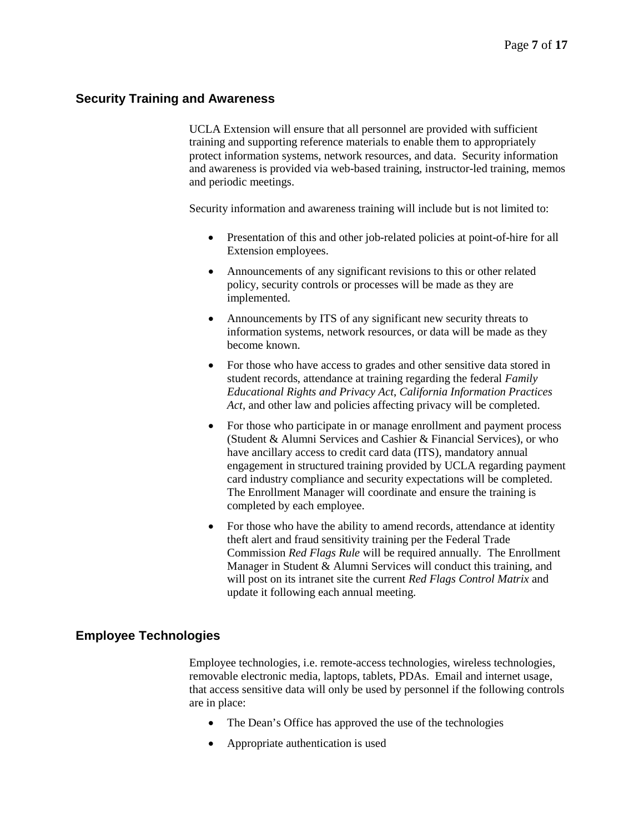# **Security Training and Awareness**

UCLA Extension will ensure that all personnel are provided with sufficient training and supporting reference materials to enable them to appropriately protect information systems, network resources, and data. Security information and awareness is provided via web-based training, instructor-led training, memos and periodic meetings.

Security information and awareness training will include but is not limited to:

- Presentation of this and other job-related policies at point-of-hire for all Extension employees.
- Announcements of any significant revisions to this or other related policy, security controls or processes will be made as they are implemented.
- Announcements by ITS of any significant new security threats to information systems, network resources, or data will be made as they become known.
- For those who have access to grades and other sensitive data stored in student records, attendance at training regarding the federal *Family Educational Rights and Privacy Act*, *California Information Practices Act*, and other law and policies affecting privacy will be completed.
- For those who participate in or manage enrollment and payment process (Student & Alumni Services and Cashier & Financial Services), or who have ancillary access to credit card data (ITS), mandatory annual engagement in structured training provided by UCLA regarding payment card industry compliance and security expectations will be completed. The Enrollment Manager will coordinate and ensure the training is completed by each employee.
- For those who have the ability to amend records, attendance at identity theft alert and fraud sensitivity training per the Federal Trade Commission *Red Flags Rule* will be required annually*.* The Enrollment Manager in Student & Alumni Services will conduct this training, and will post on its intranet site the current *Red Flags Control Matrix* and update it following each annual meeting.

# **Employee Technologies**

Employee technologies, i.e. remote-access technologies, wireless technologies, removable electronic media, laptops, tablets, PDAs. Email and internet usage, that access sensitive data will only be used by personnel if the following controls are in place:

- The Dean's Office has approved the use of the technologies
- Appropriate authentication is used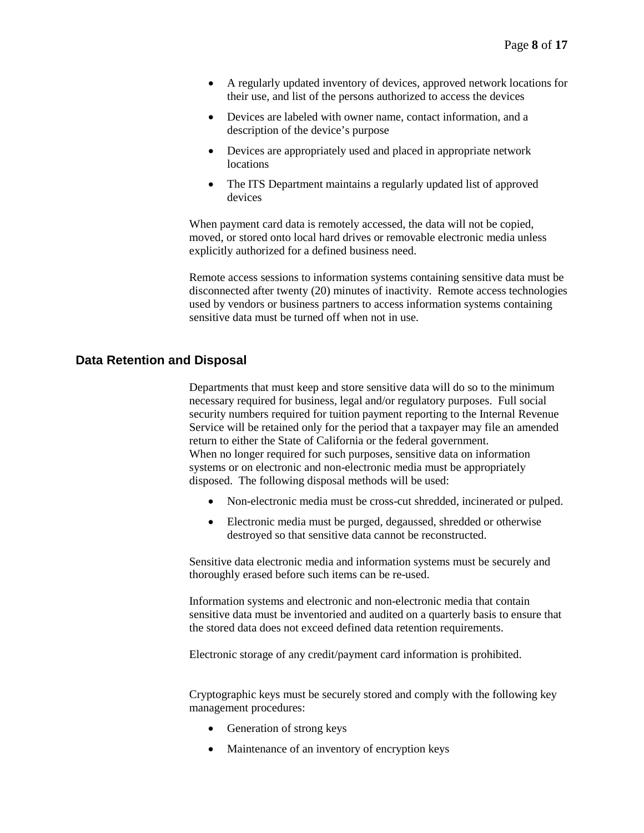- A regularly updated inventory of devices, approved network locations for their use, and list of the persons authorized to access the devices
- Devices are labeled with owner name, contact information, and a description of the device's purpose
- Devices are appropriately used and placed in appropriate network locations
- The ITS Department maintains a regularly updated list of approved devices

When payment card data is remotely accessed, the data will not be copied, moved, or stored onto local hard drives or removable electronic media unless explicitly authorized for a defined business need.

Remote access sessions to information systems containing sensitive data must be disconnected after twenty (20) minutes of inactivity. Remote access technologies used by vendors or business partners to access information systems containing sensitive data must be turned off when not in use.

# **Data Retention and Disposal**

Departments that must keep and store sensitive data will do so to the minimum necessary required for business, legal and/or regulatory purposes. Full social security numbers required for tuition payment reporting to the Internal Revenue Service will be retained only for the period that a taxpayer may file an amended return to either the State of California or the federal government. When no longer required for such purposes, sensitive data on information systems or on electronic and non-electronic media must be appropriately disposed. The following disposal methods will be used:

- Non-electronic media must be cross-cut shredded, incinerated or pulped.
- Electronic media must be purged, degaussed, shredded or otherwise destroyed so that sensitive data cannot be reconstructed.

Sensitive data electronic media and information systems must be securely and thoroughly erased before such items can be re-used.

Information systems and electronic and non-electronic media that contain sensitive data must be inventoried and audited on a quarterly basis to ensure that the stored data does not exceed defined data retention requirements.

Electronic storage of any credit/payment card information is prohibited.

Cryptographic keys must be securely stored and comply with the following key management procedures:

- Generation of strong keys
- Maintenance of an inventory of encryption keys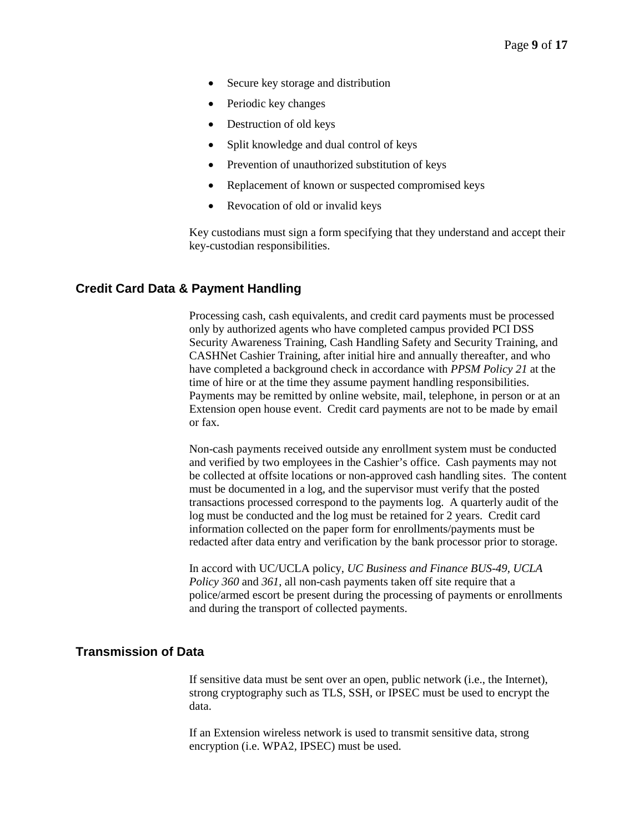- Secure key storage and distribution
- Periodic key changes
- Destruction of old keys
- Split knowledge and dual control of keys
- Prevention of unauthorized substitution of keys
- Replacement of known or suspected compromised keys
- Revocation of old or invalid keys

Key custodians must sign a form specifying that they understand and accept their key-custodian responsibilities.

# **Credit Card Data & Payment Handling**

Processing cash, cash equivalents, and credit card payments must be processed only by authorized agents who have completed campus provided PCI DSS Security Awareness Training, Cash Handling Safety and Security Training, and CASHNet Cashier Training, after initial hire and annually thereafter, and who have completed a background check in accordance with *PPSM Policy 21* at the time of hire or at the time they assume payment handling responsibilities. Payments may be remitted by online website, mail, telephone, in person or at an Extension open house event. Credit card payments are not to be made by email or fax.

Non-cash payments received outside any enrollment system must be conducted and verified by two employees in the Cashier's office. Cash payments may not be collected at offsite locations or non-approved cash handling sites. The content must be documented in a log, and the supervisor must verify that the posted transactions processed correspond to the payments log. A quarterly audit of the log must be conducted and the log must be retained for 2 years. Credit card information collected on the paper form for enrollments/payments must be redacted after data entry and verification by the bank processor prior to storage.

In accord with UC/UCLA policy, *UC Business and Finance BUS-49, UCLA Policy 360* and *361*, all non-cash payments taken off site require that a police/armed escort be present during the processing of payments or enrollments and during the transport of collected payments.

# **Transmission of Data**

If sensitive data must be sent over an open, public network (i.e., the Internet), strong cryptography such as TLS, SSH, or IPSEC must be used to encrypt the data.

If an Extension wireless network is used to transmit sensitive data, strong encryption (i.e. WPA2, IPSEC) must be used.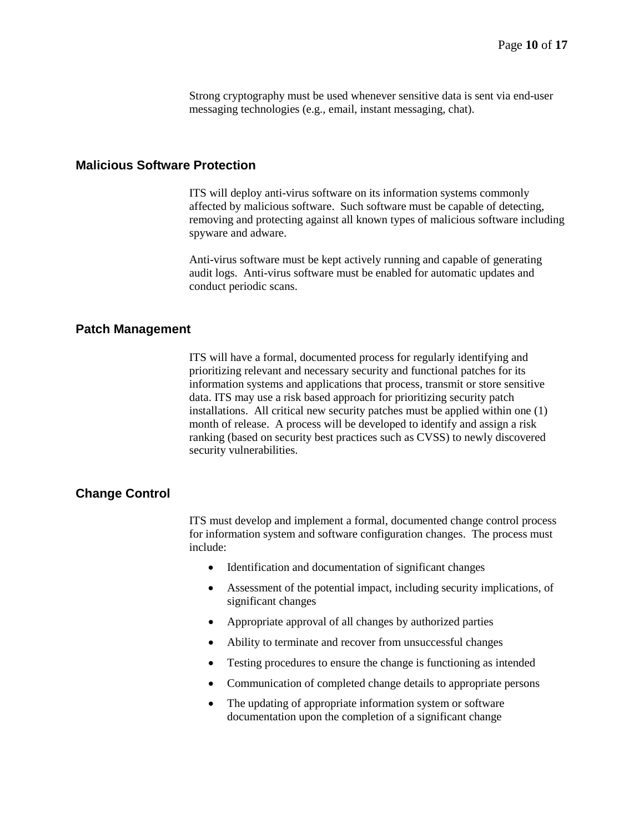Strong cryptography must be used whenever sensitive data is sent via end-user messaging technologies (e.g., email, instant messaging, chat).

# **Malicious Software Protection**

ITS will deploy anti-virus software on its information systems commonly affected by malicious software. Such software must be capable of detecting, removing and protecting against all known types of malicious software including spyware and adware.

Anti-virus software must be kept actively running and capable of generating audit logs. Anti-virus software must be enabled for automatic updates and conduct periodic scans.

# **Patch Management**

ITS will have a formal, documented process for regularly identifying and prioritizing relevant and necessary security and functional patches for its information systems and applications that process, transmit or store sensitive data. ITS may use a risk based approach for prioritizing security patch installations. All critical new security patches must be applied within one (1) month of release. A process will be developed to identify and assign a risk ranking (based on security best practices such as CVSS) to newly discovered security vulnerabilities.

#### **Change Control**

ITS must develop and implement a formal, documented change control process for information system and software configuration changes. The process must include:

- Identification and documentation of significant changes
- Assessment of the potential impact, including security implications, of significant changes
- Appropriate approval of all changes by authorized parties
- Ability to terminate and recover from unsuccessful changes
- Testing procedures to ensure the change is functioning as intended
- Communication of completed change details to appropriate persons
- The updating of appropriate information system or software documentation upon the completion of a significant change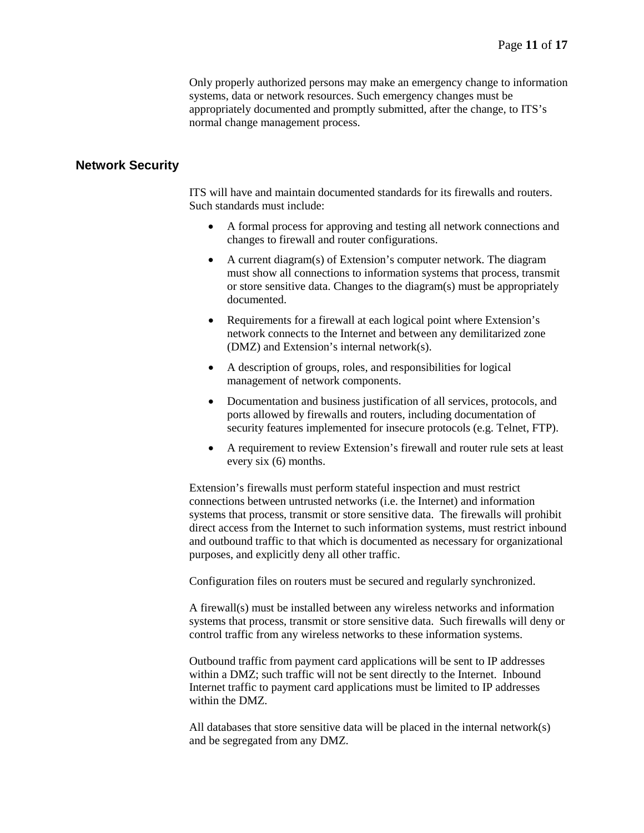Only properly authorized persons may make an emergency change to information systems, data or network resources. Such emergency changes must be appropriately documented and promptly submitted, after the change, to ITS's normal change management process.

# **Network Security**

ITS will have and maintain documented standards for its firewalls and routers. Such standards must include:

- A formal process for approving and testing all network connections and changes to firewall and router configurations.
- A current diagram(s) of Extension's computer network. The diagram must show all connections to information systems that process, transmit or store sensitive data. Changes to the diagram(s) must be appropriately documented.
- Requirements for a firewall at each logical point where Extension's network connects to the Internet and between any demilitarized zone (DMZ) and Extension's internal network(s).
- A description of groups, roles, and responsibilities for logical management of network components.
- Documentation and business justification of all services, protocols, and ports allowed by firewalls and routers, including documentation of security features implemented for insecure protocols (e.g. Telnet, FTP).
- A requirement to review Extension's firewall and router rule sets at least every six (6) months.

Extension's firewalls must perform stateful inspection and must restrict connections between untrusted networks (i.e. the Internet) and information systems that process, transmit or store sensitive data. The firewalls will prohibit direct access from the Internet to such information systems, must restrict inbound and outbound traffic to that which is documented as necessary for organizational purposes, and explicitly deny all other traffic.

Configuration files on routers must be secured and regularly synchronized.

A firewall(s) must be installed between any wireless networks and information systems that process, transmit or store sensitive data. Such firewalls will deny or control traffic from any wireless networks to these information systems.

Outbound traffic from payment card applications will be sent to IP addresses within a DMZ; such traffic will not be sent directly to the Internet. Inbound Internet traffic to payment card applications must be limited to IP addresses within the DMZ.

All databases that store sensitive data will be placed in the internal network(s) and be segregated from any DMZ.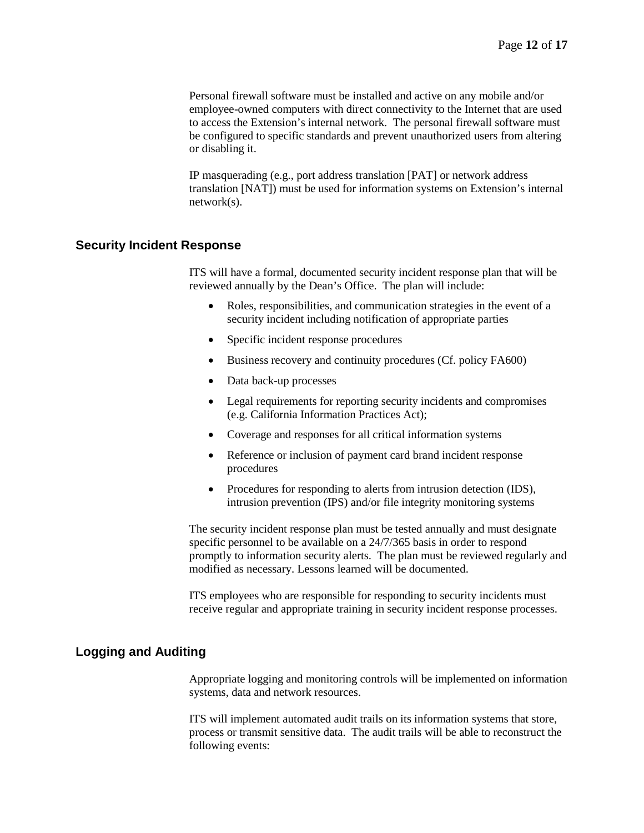Personal firewall software must be installed and active on any mobile and/or employee-owned computers with direct connectivity to the Internet that are used to access the Extension's internal network. The personal firewall software must be configured to specific standards and prevent unauthorized users from altering or disabling it.

IP masquerading (e.g., port address translation [PAT] or network address translation [NAT]) must be used for information systems on Extension's internal network(s).

# **Security Incident Response**

ITS will have a formal, documented security incident response plan that will be reviewed annually by the Dean's Office. The plan will include:

- Roles, responsibilities, and communication strategies in the event of a security incident including notification of appropriate parties
- Specific incident response procedures
- Business recovery and continuity procedures (Cf. policy FA600)
- Data back-up processes
- Legal requirements for reporting security incidents and compromises (e.g. California Information Practices Act);
- Coverage and responses for all critical information systems
- Reference or inclusion of payment card brand incident response procedures
- Procedures for responding to alerts from intrusion detection (IDS), intrusion prevention (IPS) and/or file integrity monitoring systems

The security incident response plan must be tested annually and must designate specific personnel to be available on a 24/7/365 basis in order to respond promptly to information security alerts. The plan must be reviewed regularly and modified as necessary. Lessons learned will be documented.

ITS employees who are responsible for responding to security incidents must receive regular and appropriate training in security incident response processes.

# **Logging and Auditing**

Appropriate logging and monitoring controls will be implemented on information systems, data and network resources.

ITS will implement automated audit trails on its information systems that store, process or transmit sensitive data. The audit trails will be able to reconstruct the following events: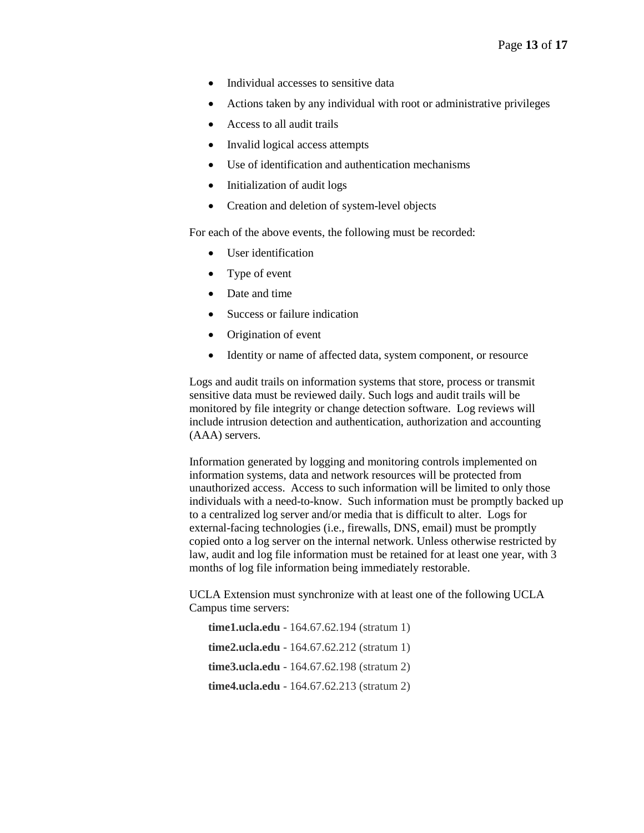- Individual accesses to sensitive data
- Actions taken by any individual with root or administrative privileges
- Access to all audit trails
- Invalid logical access attempts
- Use of identification and authentication mechanisms
- Initialization of audit logs
- Creation and deletion of system-level objects

For each of the above events, the following must be recorded:

- User identification
- Type of event
- Date and time
- Success or failure indication
- Origination of event
- Identity or name of affected data, system component, or resource

Logs and audit trails on information systems that store, process or transmit sensitive data must be reviewed daily. Such logs and audit trails will be monitored by file integrity or change detection software. Log reviews will include intrusion detection and authentication, authorization and accounting (AAA) servers.

Information generated by logging and monitoring controls implemented on information systems, data and network resources will be protected from unauthorized access. Access to such information will be limited to only those individuals with a need-to-know. Such information must be promptly backed up to a centralized log server and/or media that is difficult to alter. Logs for external-facing technologies (i.e., firewalls, DNS, email) must be promptly copied onto a log server on the internal network. Unless otherwise restricted by law, audit and log file information must be retained for at least one year, with 3 months of log file information being immediately restorable.

UCLA Extension must synchronize with at least one of the following UCLA Campus time servers:

**time1.ucla.edu** - 164.67.62.194 (stratum 1) **time2.ucla.edu** - 164.67.62.212 (stratum 1) **time3.ucla.edu** - 164.67.62.198 (stratum 2) **time4.ucla.edu** - 164.67.62.213 (stratum 2)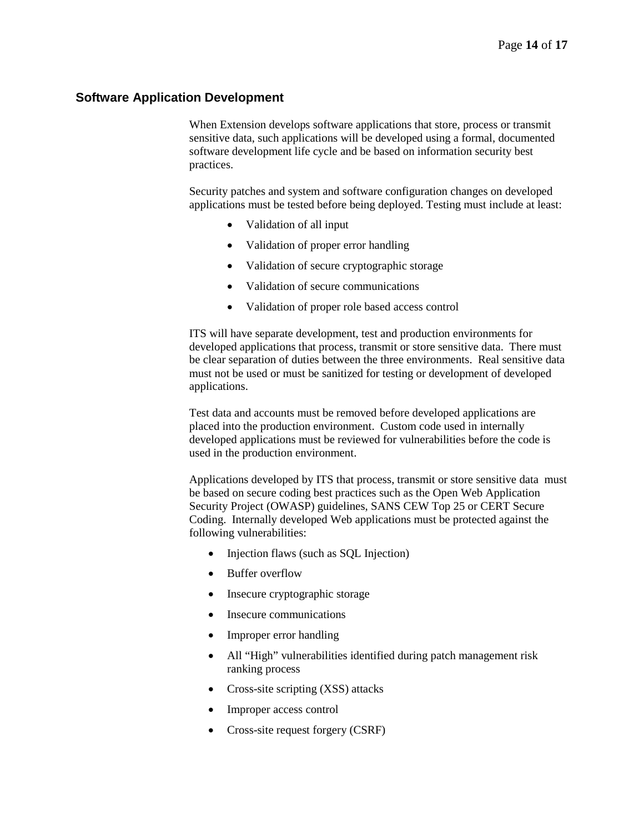# **Software Application Development**

When Extension develops software applications that store, process or transmit sensitive data, such applications will be developed using a formal, documented software development life cycle and be based on information security best practices.

Security patches and system and software configuration changes on developed applications must be tested before being deployed. Testing must include at least:

- Validation of all input
- Validation of proper error handling
- Validation of secure cryptographic storage
- Validation of secure communications
- Validation of proper role based access control

ITS will have separate development, test and production environments for developed applications that process, transmit or store sensitive data. There must be clear separation of duties between the three environments. Real sensitive data must not be used or must be sanitized for testing or development of developed applications.

Test data and accounts must be removed before developed applications are placed into the production environment. Custom code used in internally developed applications must be reviewed for vulnerabilities before the code is used in the production environment.

Applications developed by ITS that process, transmit or store sensitive data must be based on secure coding best practices such as the Open Web Application Security Project (OWASP) guidelines, SANS CEW Top 25 or CERT Secure Coding. Internally developed Web applications must be protected against the following vulnerabilities:

- Injection flaws (such as SQL Injection)
- Buffer overflow
- Insecure cryptographic storage
- Insecure communications
- Improper error handling
- All "High" vulnerabilities identified during patch management risk ranking process
- Cross-site scripting (XSS) attacks
- Improper access control
- Cross-site request forgery (CSRF)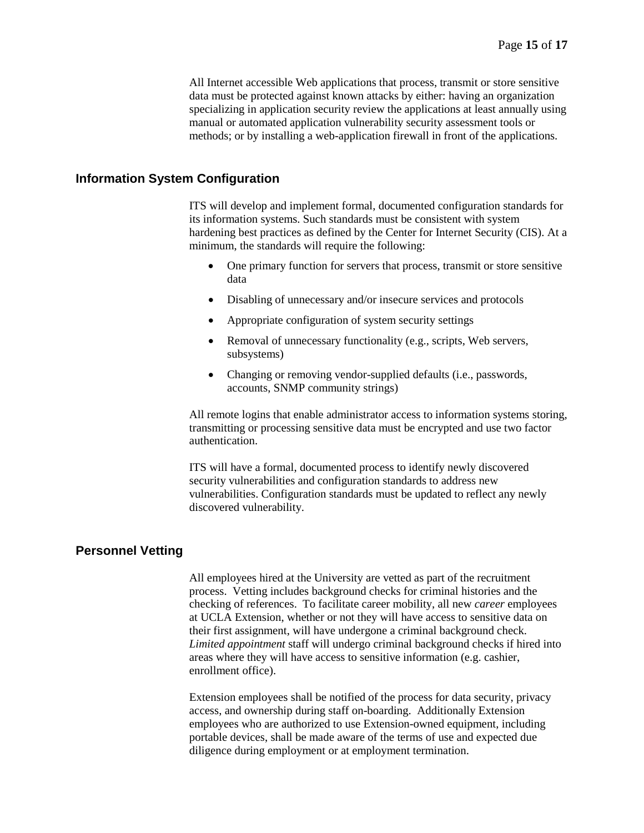All Internet accessible Web applications that process, transmit or store sensitive data must be protected against known attacks by either: having an organization specializing in application security review the applications at least annually using manual or automated application vulnerability security assessment tools or methods; or by installing a web-application firewall in front of the applications.

# **Information System Configuration**

ITS will develop and implement formal, documented configuration standards for its information systems. Such standards must be consistent with system hardening best practices as defined by the Center for Internet Security (CIS). At a minimum, the standards will require the following:

- One primary function for servers that process, transmit or store sensitive data
- Disabling of unnecessary and/or insecure services and protocols
- Appropriate configuration of system security settings
- Removal of unnecessary functionality (e.g., scripts, Web servers, subsystems)
- Changing or removing vendor-supplied defaults (i.e., passwords, accounts, SNMP community strings)

All remote logins that enable administrator access to information systems storing, transmitting or processing sensitive data must be encrypted and use two factor authentication.

ITS will have a formal, documented process to identify newly discovered security vulnerabilities and configuration standards to address new vulnerabilities. Configuration standards must be updated to reflect any newly discovered vulnerability.

# **Personnel Vetting**

All employees hired at the University are vetted as part of the recruitment process. Vetting includes background checks for criminal histories and the checking of references. To facilitate career mobility, all new *career* employees at UCLA Extension, whether or not they will have access to sensitive data on their first assignment, will have undergone a criminal background check. *Limited appointment* staff will undergo criminal background checks if hired into areas where they will have access to sensitive information (e.g. cashier, enrollment office).

Extension employees shall be notified of the process for data security, privacy access, and ownership during staff on-boarding. Additionally Extension employees who are authorized to use Extension-owned equipment, including portable devices, shall be made aware of the terms of use and expected due diligence during employment or at employment termination.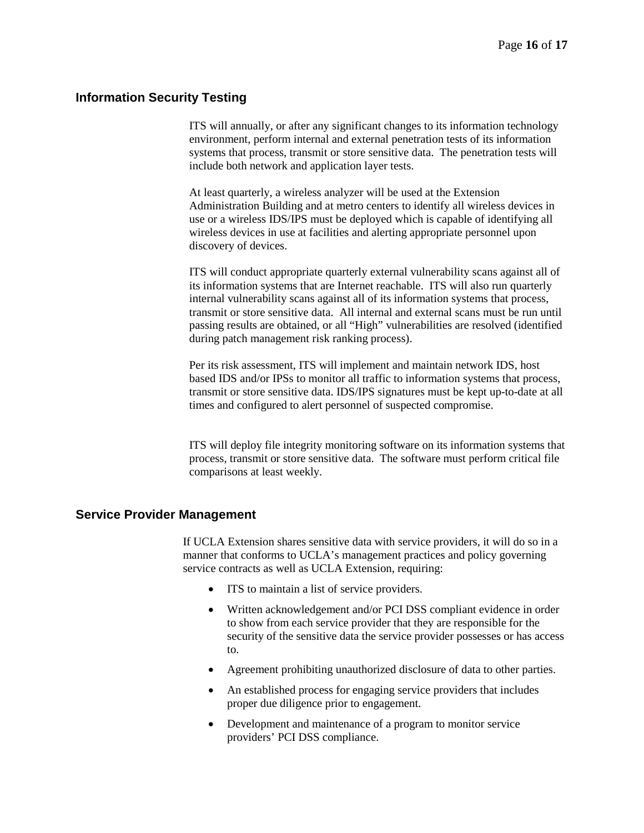# **Information Security Testing**

ITS will annually, or after any significant changes to its information technology environment, perform internal and external penetration tests of its information systems that process, transmit or store sensitive data. The penetration tests will include both network and application layer tests.

At least quarterly, a wireless analyzer will be used at the Extension Administration Building and at metro centers to identify all wireless devices in use or a wireless IDS/IPS must be deployed which is capable of identifying all wireless devices in use at facilities and alerting appropriate personnel upon discovery of devices.

ITS will conduct appropriate quarterly external vulnerability scans against all of its information systems that are Internet reachable. ITS will also run quarterly internal vulnerability scans against all of its information systems that process, transmit or store sensitive data. All internal and external scans must be run until passing results are obtained, or all "High" vulnerabilities are resolved (identified during patch management risk ranking process).

Per its risk assessment, ITS will implement and maintain network IDS, host based IDS and/or IPSs to monitor all traffic to information systems that process, transmit or store sensitive data. IDS/IPS signatures must be kept up-to-date at all times and configured to alert personnel of suspected compromise.

ITS will deploy file integrity monitoring software on its information systems that process, transmit or store sensitive data. The software must perform critical file comparisons at least weekly.

# **Service Provider Management**

If UCLA Extension shares sensitive data with service providers, it will do so in a manner that conforms to UCLA's management practices and policy governing service contracts as well as UCLA Extension, requiring:

- ITS to maintain a list of service providers.
- Written acknowledgement and/or PCI DSS compliant evidence in order to show from each service provider that they are responsible for the security of the sensitive data the service provider possesses or has access to.
- Agreement prohibiting unauthorized disclosure of data to other parties.
- An established process for engaging service providers that includes proper due diligence prior to engagement.
- Development and maintenance of a program to monitor service providers' PCI DSS compliance.